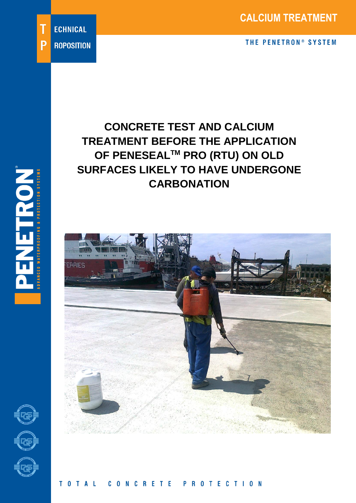# **CONCRETE TEST AND CALCIUM TREATMENT BEFORE THE APPLICATION OF PENESEALTM PRO (RTU) ON OLD SURFACES LIKELY TO HAVE UNDERGONE CARBONATION**





'n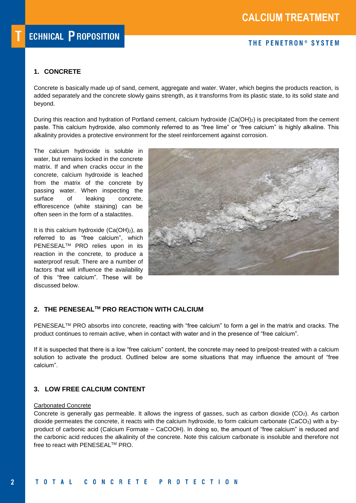# **1. CONCRETE**

Concrete is basically made up of sand, cement, aggregate and water. Water, which begins the products reaction, is added separately and the concrete slowly gains strength, as it transforms from its plastic state, to its solid state and beyond.

During this reaction and hydration of Portland cement, calcium hydroxide (Ca(OH)2) is precipitated from the cement paste. This calcium hydroxide, also commonly referred to as "free lime" or "free calcium" is highly alkaline. This alkalinity provides a protective environment for the steel reinforcement against corrosion.

The calcium hydroxide is soluble in water, but remains locked in the concrete matrix. If and when cracks occur in the concrete, calcium hydroxide is leached from the matrix of the concrete by passing water. When inspecting the surface of leaking concrete, efflorescence (white staining) can be often seen in the form of a stalactites.

It is this calcium hydroxide  $(Ca(OH)_2)$ , as referred to as "free calcium", which PENESEAL<sup>™</sup> PRO relies upon in its reaction in the concrete, to produce a waterproof result. There are a number of factors that will influence the availability of this "free calcium". These will be discussed below.



# **2. THE PENESEALTM PRO REACTION WITH CALCIUM**

PENESEAL™ PRO absorbs into concrete, reacting with "free calcium" to form a gel in the matrix and cracks. The product continues to remain active, when in contact with water and in the presence of "free calcium".

If it is suspected that there is a low "free calcium" content, the concrete may need to pre/post-treated with a calcium solution to activate the product. Outlined below are some situations that may influence the amount of "free calcium".

# **3. LOW FREE CALCIUM CONTENT**

#### Carbonated Concrete

Concrete is generally gas permeable. It allows the ingress of gasses, such as carbon dioxide (CO2). As carbon dioxide permeates the concrete, it reacts with the calcium hydroxide, to form calcium carbonate (CaCO<sub>3</sub>) with a byproduct of carbonic acid (Calcium Formate – CaCOOH). In doing so, the amount of "free calcium" is reduced and the carbonic acid reduces the alkalinity of the concrete. Note this calcium carbonate is insoluble and therefore not free to react with PENESEAL™ PRO.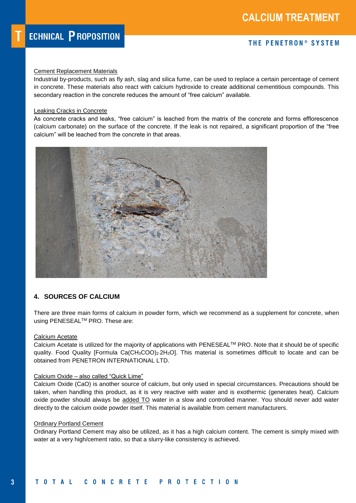#### Cement Replacement Materials

Industrial by-products, such as fly ash, slag and silica fume, can be used to replace a certain percentage of cement in concrete. These materials also react with calcium hydroxide to create additional cementitious compounds. This secondary reaction in the concrete reduces the amount of "free calcium" available.

#### Leaking Cracks in Concrete

As concrete cracks and leaks, "free calcium" is leached from the matrix of the concrete and forms efflorescence (calcium carbonate) on the surface of the concrete. If the leak is not repaired, a significant proportion of the "free calcium" will be leached from the concrete in that areas.



### **4. SOURCES OF CALCIUM**

There are three main forms of calcium in powder form, which we recommend as a supplement for concrete, when using PENESEALTM PRO. These are:

#### Calcium Acetate

Calcium Acetate is utilized for the majority of applications with PENESEALTM PRO. Note that it should be of specific quality. Food Quality [Formula Ca(CH<sub>3</sub>COO)<sub>2</sub>·2H<sub>2</sub>O]. This material is sometimes difficult to locate and can be obtained from PENETRON INTERNATIONAL LTD.

#### Calcium Oxide – also called "Quick Lime"

Calcium Oxide (CaO) is another source of calcium, but only used in special circumstances. Precautions should be taken, when handling this product, as it is very reactive with water and is exothermic (generates heat). Calcium oxide powder should always be added TO water in a slow and controlled manner. You should never add water directly to the calcium oxide powder itself. This material is available from cement manufacturers.

#### Ordinary Portland Cement

Ordinary Portland Cement may also be utilized, as it has a high calcium content. The cement is simply mixed with water at a very high/cement ratio, so that a slurry-like consistency is achieved.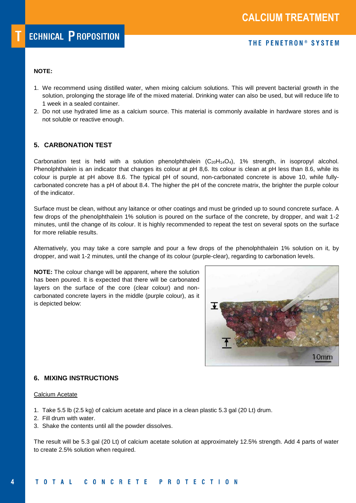### **NOTE:**

- 1. We recommend using distilled water, when mixing calcium solutions. This will prevent bacterial growth in the solution, prolonging the storage life of the mixed material. Drinking water can also be used, but will reduce life to 1 week in a sealed container.
- 2. Do not use hydrated lime as a calcium source. This material is commonly available in hardware stores and is not soluble or reactive enough.

## **5. CARBONATION TEST**

Carbonation test is held with a solution phenolphthalein  $(C_{20}H_{14}O_4)$ , 1% strength, in isopropyl alcohol. Phenolphthalein is an indicator that changes its colour at pH 8,6. Its colour is clean at pH less than 8.6, while its colour is purple at pH above 8.6. The typical pH of sound, non-carbonated concrete is above 10, while fullycarbonated concrete has a pH of about 8.4. The higher the pH of the concrete matrix, the brighter the purple colour of the indicator.

Surface must be clean, without any laitance or other coatings and must be grinded up to sound concrete surface. A few drops of the phenolphthalein 1% solution is poured on the surface of the concrete, by dropper, and wait 1-2 minutes, until the change of its colour. It is highly recommended to repeat the test on several spots on the surface for more reliable results.

Alternatively, you may take a core sample and pour a few drops of the phenolphthalein 1% solution on it, by dropper, and wait 1-2 minutes, until the change of its colour (purple-clear), regarding to carbonation levels.

**NOTE:** The colour change will be apparent, where the solution has been poured. It is expected that there will be carbonated layers on the surface of the core (clear colour) and noncarbonated concrete layers in the middle (purple colour), as it is depicted below:



### **6. MIXING INSTRUCTIONS**

#### Calcium Acetate

- 1. Take 5.5 lb (2.5 kg) of calcium acetate and place in a clean plastic 5.3 gal (20 Lt) drum.
- 2. Fill drum with water.
- 3. Shake the contents until all the powder dissolves.

The result will be 5.3 gal (20 Lt) of calcium acetate solution at approximately 12.5% strength. Add 4 parts of water to create 2.5% solution when required.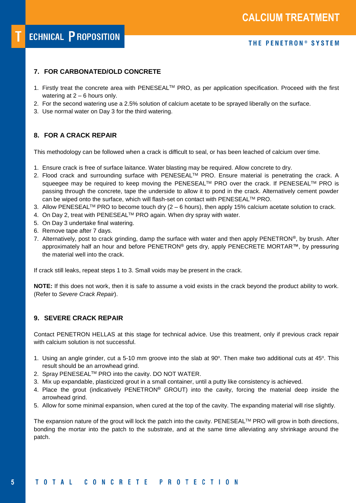# **7. FOR CARBONATED/OLD CONCRETE**

- 1. Firstly treat the concrete area with PENESEAL™ PRO, as per application specification. Proceed with the first watering at 2 – 6 hours only.
- 2. For the second watering use a 2.5% solution of calcium acetate to be sprayed liberally on the surface.
- 3. Use normal water on Day 3 for the third watering.

# **8. FOR A CRACK REPAIR**

This methodology can be followed when a crack is difficult to seal, or has been leached of calcium over time.

- 1. Ensure crack is free of surface laitance. Water blasting may be required. Allow concrete to dry.
- 2. Flood crack and surrounding surface with PENESEAL™ PRO. Ensure material is penetrating the crack. A squeegee may be required to keep moving the PENESEAL™ PRO over the crack. If PENESEAL™ PRO is passing through the concrete, tape the underside to allow it to pond in the crack. Alternatively cement powder can be wiped onto the surface, which will flash-set on contact with PENESEALTM PRO.
- 3. Allow PENESEAL<sup>TM</sup> PRO to become touch dry  $(2 6$  hours), then apply 15% calcium acetate solution to crack.
- 4. On Day 2, treat with PENESEAL™ PRO again. When dry spray with water.
- 5. On Day 3 undertake final watering.
- 6. Remove tape after 7 days.
- 7. Alternatively, post to crack grinding, damp the surface with water and then apply PENETRON®, by brush. After approximately half an hour and before PENETRON® gets dry, apply PENECRETE MORTAR™, by pressuring the material well into the crack.

If crack still leaks, repeat steps 1 to 3. Small voids may be present in the crack.

**NOTE:** If this does not work, then it is safe to assume a void exists in the crack beyond the product ability to work. (Refer to *Severe Crack Repair*).

# **9. SEVERE CRACK REPAIR**

Contact PENETRON HELLAS at this stage for technical advice. Use this treatment, only if previous crack repair with calcium solution is not successful.

- 1. Using an angle grinder, cut a 5-10 mm groove into the slab at 90 $^{\circ}$ . Then make two additional cuts at 45 $^{\circ}$ . This result should be an arrowhead grind.
- 2. Spray PENESEAL™ PRO into the cavity. DO NOT WATER.
- 3. Mix up expandable, plasticized grout in a small container, until a putty like consistency is achieved.
- 4. Place the grout (indicatively PENETRON® GROUT) into the cavity, forcing the material deep inside the arrowhead grind.
- 5. Allow for some minimal expansion, when cured at the top of the cavity. The expanding material will rise slightly.

The expansion nature of the grout will lock the patch into the cavity. PENESEALTM PRO will grow in both directions, bonding the mortar into the patch to the substrate, and at the same time alleviating any shrinkage around the patch.